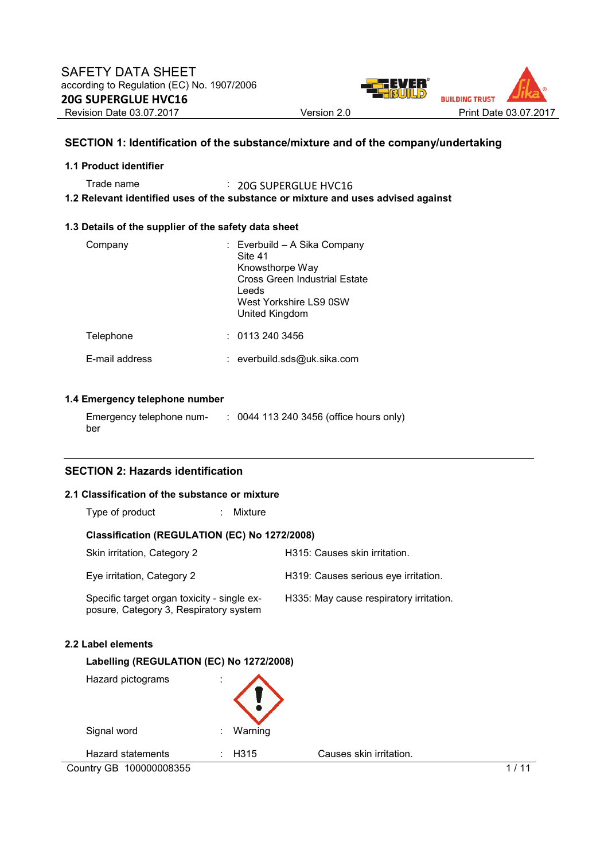

# **SECTION 1: Identification of the substance/mixture and of the company/undertaking**

#### **1.1 Product identifier**

Trade name : 20G SUPERGLUE HVC16

**1.2 Relevant identified uses of the substance or mixture and uses advised against** 

#### **1.3 Details of the supplier of the safety data sheet**

| Company        | : Everbuild – A Sika Company<br>Site 41<br>Knowsthorpe Way<br>Cross Green Industrial Estate<br>Leeds<br>West Yorkshire LS9 0SW<br>United Kingdom |
|----------------|--------------------------------------------------------------------------------------------------------------------------------------------------|
| Telephone      | : 01132403456                                                                                                                                    |
| F-mail address | : everbuild.sds@uk.sika.com                                                                                                                      |

### **1.4 Emergency telephone number**

| Emergency telephone num- | : 0044 113 240 3456 (office hours only) |
|--------------------------|-----------------------------------------|
| ber                      |                                         |

### **SECTION 2: Hazards identification**

#### **2.1 Classification of the substance or mixture**

| Type of product<br>Mixture                                                            |                                         |
|---------------------------------------------------------------------------------------|-----------------------------------------|
| Classification (REGULATION (EC) No 1272/2008)                                         |                                         |
| Skin irritation, Category 2                                                           | H315: Causes skin irritation.           |
| Eye irritation, Category 2                                                            | H319: Causes serious eye irritation.    |
| Specific target organ toxicity - single ex-<br>posure, Category 3, Respiratory system | H335: May cause respiratory irritation. |

### **2.2 Label elements**

### **Labelling (REGULATION (EC) No 1272/2008)**

| Hazard pictograms       | ٠<br>٠. |                   |                         |      |
|-------------------------|---------|-------------------|-------------------------|------|
| Signal word             | ٠       | Warning           |                         |      |
| Hazard statements       |         | H <sub>3</sub> 15 | Causes skin irritation. |      |
| Country GB 100000008355 |         |                   |                         | 1/11 |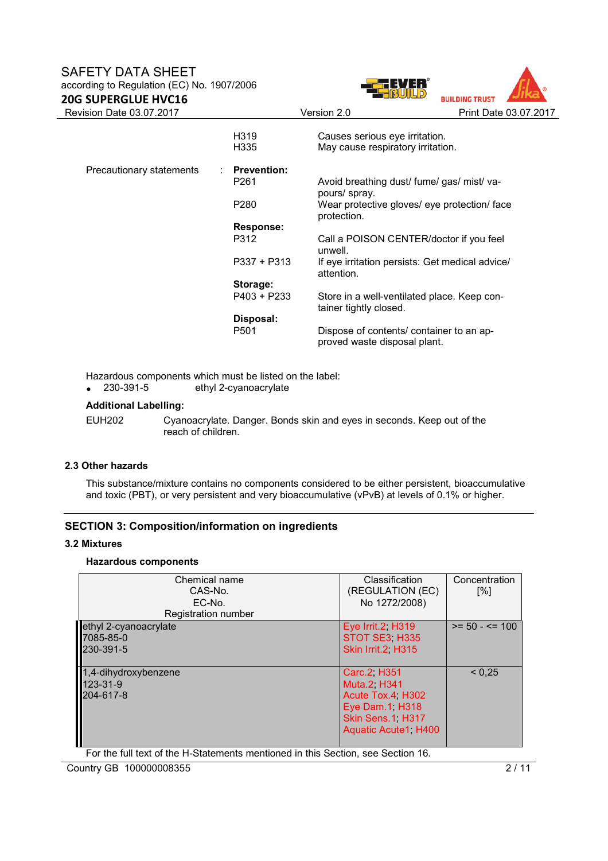# SAFETY DATA SHEET

**20G SUPERGLUE HVC16** 

according to Regulation (EC) No. 1907/2006





| Revision Date 03.07.2017 |                    | Version 2.0                                                              | Print Date 03.07.2017 |
|--------------------------|--------------------|--------------------------------------------------------------------------|-----------------------|
|                          | H319<br>H335       | Causes serious eye irritation.<br>May cause respiratory irritation.      |                       |
| Precautionary statements | <b>Prevention:</b> |                                                                          |                       |
|                          | P <sub>261</sub>   | Avoid breathing dust/ fume/ gas/ mist/ va-<br>pours/ spray.              |                       |
|                          | P <sub>280</sub>   | Wear protective gloves/ eye protection/ face<br>protection.              |                       |
|                          | Response:          |                                                                          |                       |
|                          | P312               | Call a POISON CENTER/doctor if you feel<br>unwell.                       |                       |
|                          | $P337 + P313$      | If eye irritation persists: Get medical advice/<br>attention.            |                       |
|                          | Storage:           |                                                                          |                       |
|                          | $P403 + P233$      | Store in a well-ventilated place. Keep con-<br>tainer tightly closed.    |                       |
|                          | Disposal:          |                                                                          |                       |
|                          | P <sub>501</sub>   | Dispose of contents/ container to an ap-<br>proved waste disposal plant. |                       |

Hazardous components which must be listed on the label:<br>• 230-391-5 ethyl 2-cyanoacrylate

ethyl 2-cyanoacrylate

#### **Additional Labelling:**

EUH202 Cyanoacrylate. Danger. Bonds skin and eyes in seconds. Keep out of the reach of children.

#### **2.3 Other hazards**

This substance/mixture contains no components considered to be either persistent, bioaccumulative and toxic (PBT), or very persistent and very bioaccumulative (vPvB) at levels of 0.1% or higher.

# **SECTION 3: Composition/information on ingredients**

### **3.2 Mixtures**

### **Hazardous components**

| Chemical name<br>CAS-No.<br>EC-No.<br>Registration number | Classification<br>(REGULATION (EC)<br>No 1272/2008)                                                                         | Concentration<br>$\lceil \% \rceil$ |
|-----------------------------------------------------------|-----------------------------------------------------------------------------------------------------------------------------|-------------------------------------|
| ethyl 2-cyanoacrylate<br>7085-85-0                        | Eye Irrit.2, H319<br>STOT SE3 H335                                                                                          | $>= 50 - 5 = 100$                   |
| 230-391-5                                                 | Skin Irrit.2, H315                                                                                                          |                                     |
| 1,4-dihydroxybenzene<br>123-31-9<br>204-617-8             | Carc.2 H351<br><b>Muta.2 H341</b><br>Acute Tox.4 H302<br>Eye Dam.1, H318<br>Skin Sens.1 H317<br><b>Aquatic Acute1, H400</b> | < 0.25                              |

For the full text of the H-Statements mentioned in this Section, see Section 16.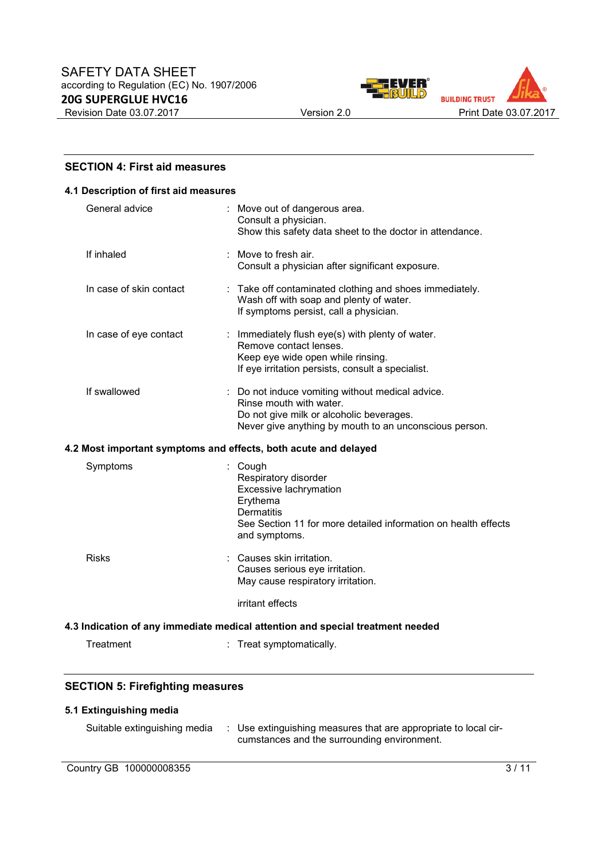



### **SECTION 4: First aid measures**

| 4.1 Description of first aid measures                           |                                                                                                                                                                                 |  |  |  |  |
|-----------------------------------------------------------------|---------------------------------------------------------------------------------------------------------------------------------------------------------------------------------|--|--|--|--|
| General advice                                                  | : Move out of dangerous area.<br>Consult a physician.<br>Show this safety data sheet to the doctor in attendance.                                                               |  |  |  |  |
| If inhaled                                                      | : Move to fresh air.<br>Consult a physician after significant exposure.                                                                                                         |  |  |  |  |
| In case of skin contact                                         | Take off contaminated clothing and shoes immediately.<br>÷<br>Wash off with soap and plenty of water.<br>If symptoms persist, call a physician.                                 |  |  |  |  |
| In case of eye contact                                          | : Immediately flush eye(s) with plenty of water.<br>Remove contact lenses.<br>Keep eye wide open while rinsing.<br>If eye irritation persists, consult a specialist.            |  |  |  |  |
| If swallowed                                                    | Do not induce vomiting without medical advice.<br>Rinse mouth with water.<br>Do not give milk or alcoholic beverages.<br>Never give anything by mouth to an unconscious person. |  |  |  |  |
| 4.2 Most important symptoms and effects, both acute and delayed |                                                                                                                                                                                 |  |  |  |  |
| Symptoms                                                        | Cough<br>Respiratory disorder<br>Excessive lachrymation<br>Erythema<br><b>Dermatitis</b><br>See Section 11 for more detailed information on health effects<br>and symptoms.     |  |  |  |  |
| <b>Risks</b>                                                    | : Causes skin irritation.<br>Causes serious eye irritation.<br>May cause respiratory irritation.                                                                                |  |  |  |  |
|                                                                 | irritant effects                                                                                                                                                                |  |  |  |  |
|                                                                 | 4.3 Indication of any immediate medical attention and special treatment needed                                                                                                  |  |  |  |  |
| Treatment                                                       | Treat symptomatically.                                                                                                                                                          |  |  |  |  |

### **SECTION 5: Firefighting measures**

# **5.1 Extinguishing media**

Suitable extinguishing media : Use extinguishing measures that are appropriate to local circumstances and the surrounding environment.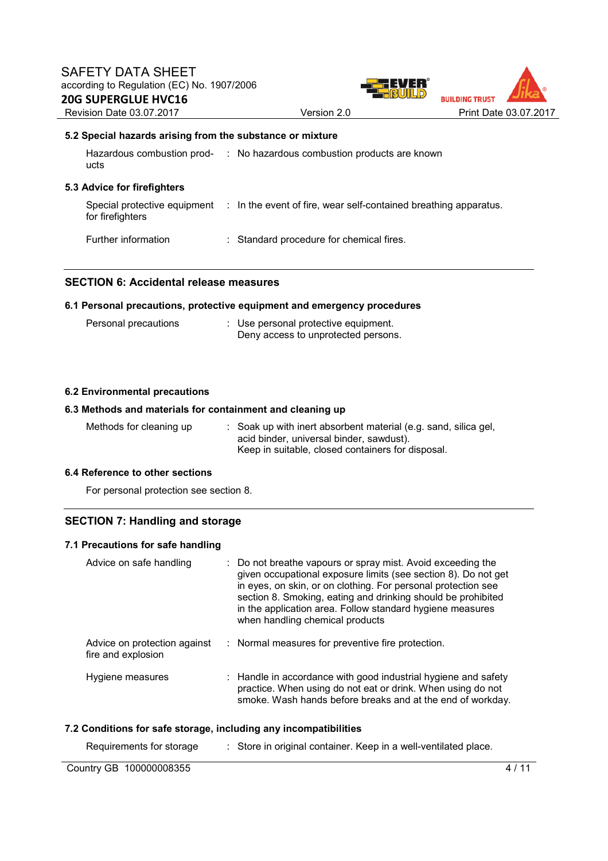



#### **5.2 Special hazards arising from the substance or mixture**

| Hazardous combustion prod-<br>ucts | : No hazardous combustion products are known |
|------------------------------------|----------------------------------------------|
| 5.3 Advice for firefighters        |                                              |

| Special protective equipment | : In the event of fire, wear self-contained breathing apparatus. |
|------------------------------|------------------------------------------------------------------|
| for firefighters             |                                                                  |
|                              |                                                                  |

Further information : Standard procedure for chemical fires.

#### **SECTION 6: Accidental release measures**

#### **6.1 Personal precautions, protective equipment and emergency procedures**

| Personal precautions | : Use personal protective equipment. |
|----------------------|--------------------------------------|
|                      | Deny access to unprotected persons.  |

#### **6.2 Environmental precautions**

#### **6.3 Methods and materials for containment and cleaning up**

| Methods for cleaning up |  | : Soak up with inert absorbent material (e.g. sand, silica gel, |
|-------------------------|--|-----------------------------------------------------------------|
|                         |  | acid binder, universal binder, sawdust).                        |
|                         |  | Keep in suitable, closed containers for disposal.               |

### **6.4 Reference to other sections**

For personal protection see section 8.

## **SECTION 7: Handling and storage**

### **7.1 Precautions for safe handling**

| Advice on safe handling                            | : Do not breathe vapours or spray mist. Avoid exceeding the<br>given occupational exposure limits (see section 8). Do not get<br>in eyes, on skin, or on clothing. For personal protection see<br>section 8. Smoking, eating and drinking should be prohibited<br>in the application area. Follow standard hygiene measures<br>when handling chemical products |
|----------------------------------------------------|----------------------------------------------------------------------------------------------------------------------------------------------------------------------------------------------------------------------------------------------------------------------------------------------------------------------------------------------------------------|
| Advice on protection against<br>fire and explosion | : Normal measures for preventive fire protection.                                                                                                                                                                                                                                                                                                              |
| Hygiene measures                                   | : Handle in accordance with good industrial hygiene and safety<br>practice. When using do not eat or drink. When using do not<br>smoke. Wash hands before breaks and at the end of workday.                                                                                                                                                                    |

#### **7.2 Conditions for safe storage, including any incompatibilities**

| Requirements for storage | Store in original container. Keep in a well-ventilated place. |      |
|--------------------------|---------------------------------------------------------------|------|
| Country GB 100000008355  |                                                               | 4/11 |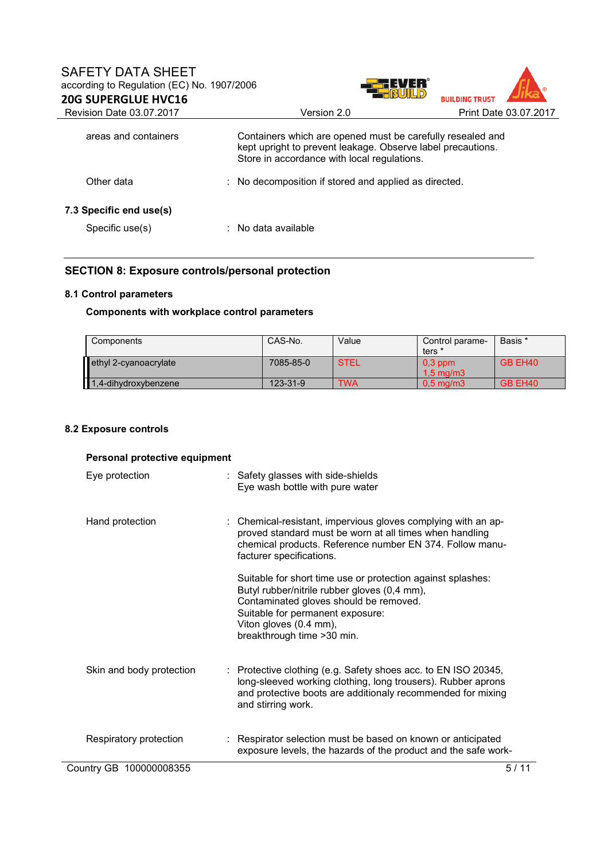

| Revision Date 03.07.2017 |                      | Version 2.0                                                                                                                                                              | Print Date 03.07.2017 |  |
|--------------------------|----------------------|--------------------------------------------------------------------------------------------------------------------------------------------------------------------------|-----------------------|--|
| areas and containers     |                      | Containers which are opened must be carefully resealed and<br>kept upright to prevent leakage. Observe label precautions.<br>Store in accordance with local regulations. |                       |  |
| Other data               |                      | : No decomposition if stored and applied as directed.                                                                                                                    |                       |  |
| 7.3 Specific end use(s)  |                      |                                                                                                                                                                          |                       |  |
| Specific use(s)          | : No data available. |                                                                                                                                                                          |                       |  |

# **SECTION 8: Exposure controls/personal protection**

### **8.1 Control parameters**

# **Components with workplace control parameters**

| Components                                    | CAS-No.   | Value       | Control parame-<br>ters *       | Basis *             |
|-----------------------------------------------|-----------|-------------|---------------------------------|---------------------|
| ethyl 2-cyanoacrylate<br>1,4-dihydroxybenzene | 7085-85-0 | <b>STEL</b> | $0,3$ ppm<br>$1.5 \text{ mg/m}$ | GB EH40             |
|                                               | 123-31-9  | <b>TWA</b>  | $0.5$ mg/m $3$                  | GB EH <sub>40</sub> |

### **8.2 Exposure controls**

| Personal protective equipment |                                                                                                                                                                                                                                                    |
|-------------------------------|----------------------------------------------------------------------------------------------------------------------------------------------------------------------------------------------------------------------------------------------------|
| Eye protection                | : Safety glasses with side-shields<br>Eye wash bottle with pure water                                                                                                                                                                              |
| Hand protection               | : Chemical-resistant, impervious gloves complying with an ap-<br>proved standard must be worn at all times when handling<br>chemical products. Reference number EN 374. Follow manu-<br>facturer specifications.                                   |
|                               | Suitable for short time use or protection against splashes:<br>Butyl rubber/nitrile rubber gloves (0,4 mm),<br>Contaminated gloves should be removed.<br>Suitable for permanent exposure:<br>Viton gloves (0.4 mm),<br>breakthrough time > 30 min. |
| Skin and body protection      | : Protective clothing (e.g. Safety shoes acc. to EN ISO 20345,<br>long-sleeved working clothing, long trousers). Rubber aprons<br>and protective boots are additionaly recommended for mixing<br>and stirring work.                                |
| Respiratory protection        | Respirator selection must be based on known or anticipated<br>exposure levels, the hazards of the product and the safe work-                                                                                                                       |
| Country GB 100000008355       | 5/11                                                                                                                                                                                                                                               |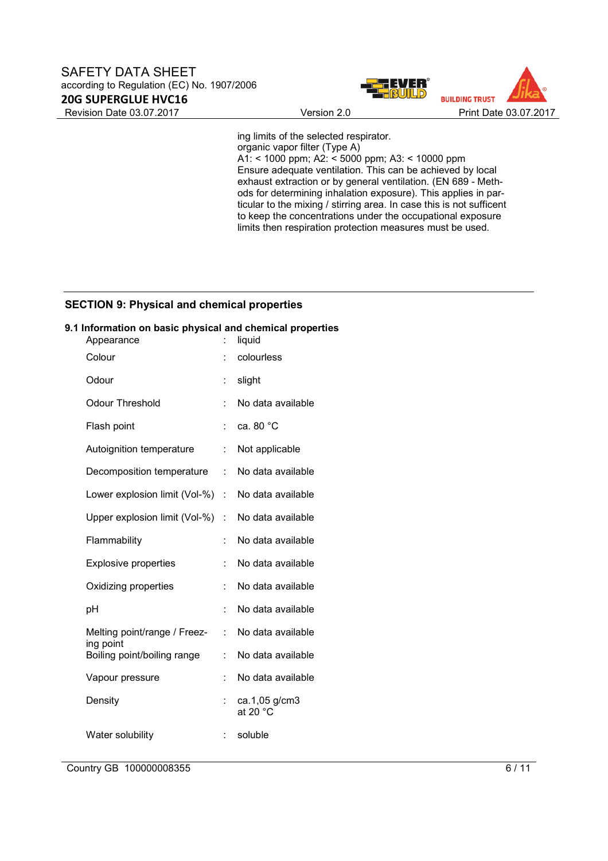



ing limits of the selected respirator. organic vapor filter (Type A) A1: < 1000 ppm; A2: < 5000 ppm; A3: < 10000 ppm Ensure adequate ventilation. This can be achieved by local exhaust extraction or by general ventilation. (EN 689 - Methods for determining inhalation exposure). This applies in particular to the mixing / stirring area. In case this is not sufficent to keep the concentrations under the occupational exposure limits then respiration protection measures must be used.

# **SECTION 9: Physical and chemical properties**

#### **9.1 Information on basic physical and chemical properties**

| Appearance                                |   | liquid                              |
|-------------------------------------------|---|-------------------------------------|
| Colour                                    |   | colourless                          |
| Odour                                     | Ì | slight                              |
| Odour Threshold                           | Ì | No data available                   |
| Flash point                               | İ | ca. 80 °C                           |
| Autoignition temperature                  | t | Not applicable                      |
| Decomposition temperature                 | ÷ | No data available                   |
| Lower explosion limit (Vol-%)             | t | No data available                   |
| Upper explosion limit (Vol-%)             | t | No data available                   |
| Flammability                              | t | No data available                   |
| <b>Explosive properties</b>               | İ | No data available                   |
| Oxidizing properties                      | Ì | No data available                   |
| pH                                        | t | No data available                   |
| Melting point/range / Freez-<br>ing point | ÷ | No data available                   |
| Boiling point/boiling range               | t | No data available                   |
| Vapour pressure                           | t | No data available                   |
| Density                                   | t | ca.1,05 g/cm3<br>at 20 $^{\circ}$ C |
| Water solubility                          | t | soluble                             |
|                                           |   |                                     |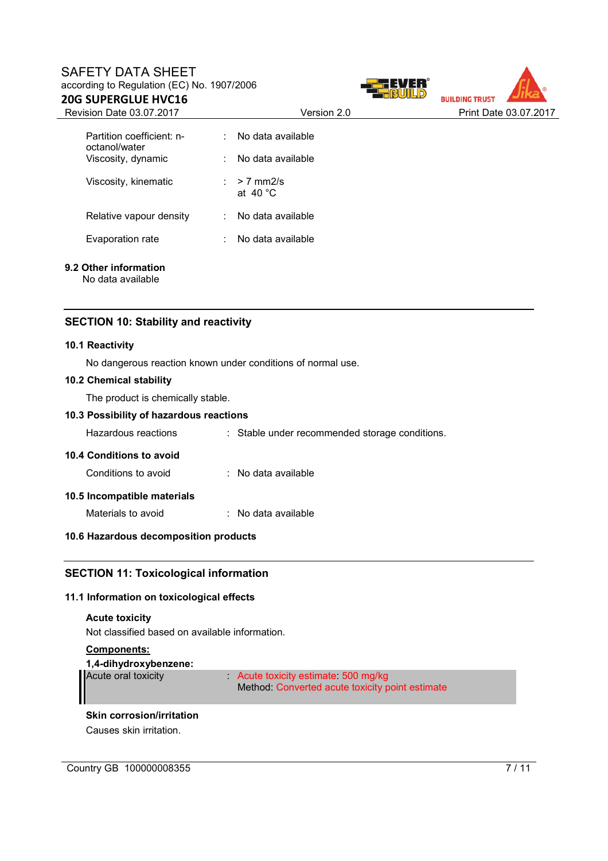# SAFETY DATA SHEET according to Regulation (EC) No. 1907/2006







| Partition coefficient: n-<br>octanol/water<br>Viscosity, dynamic<br>Viscosity, kinematic | т. | No data available<br>No data available<br>$> 7$ mm2/s<br>at 40 $^{\circ}$ C |
|------------------------------------------------------------------------------------------|----|-----------------------------------------------------------------------------|
| Relative vapour density<br>Evaporation rate                                              |    | No data available<br>No data available                                      |

# **9.2 Other information**

No data available

### **SECTION 10: Stability and reactivity**

#### **10.1 Reactivity**

No dangerous reaction known under conditions of normal use.

#### **10.2 Chemical stability**

The product is chemically stable.

#### **10.3 Possibility of hazardous reactions**

| Hazardous reactions         | : Stable under recommended storage conditions. |  |  |  |  |
|-----------------------------|------------------------------------------------|--|--|--|--|
| 10.4 Conditions to avoid    |                                                |  |  |  |  |
| Conditions to avoid         | : No data available.                           |  |  |  |  |
| 10.5 Incompatible materials |                                                |  |  |  |  |
| Materials to avoid          | $\therefore$ No data available                 |  |  |  |  |

### **10.6 Hazardous decomposition products**

### **SECTION 11: Toxicological information**

#### **11.1 Information on toxicological effects**

### **Acute toxicity**

Not classified based on available information.

### **Components:**

**1,4-dihydroxybenzene:** 

Acute oral toxicity in the Acute toxicity estimate: 500 mg/kg Method: Converted acute toxicity point estimate

#### **Skin corrosion/irritation** Causes skin irritation.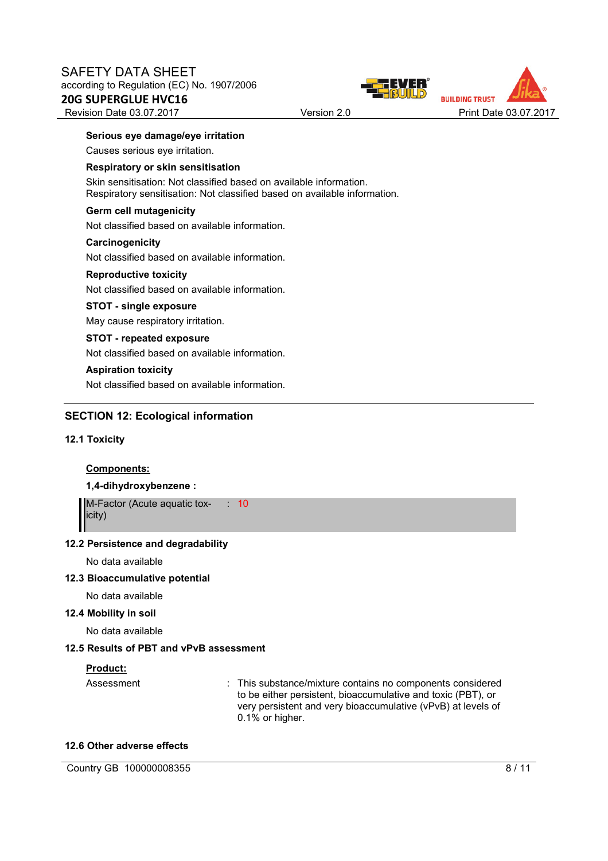



### **Serious eye damage/eye irritation**

Causes serious eye irritation.

#### **Respiratory or skin sensitisation**

Skin sensitisation: Not classified based on available information. Respiratory sensitisation: Not classified based on available information.

#### **Germ cell mutagenicity**

Not classified based on available information.

#### **Carcinogenicity**

Not classified based on available information.

#### **Reproductive toxicity**

Not classified based on available information.

#### **STOT - single exposure**

May cause respiratory irritation.

#### **STOT - repeated exposure**

Not classified based on available information.

#### **Aspiration toxicity**

Not classified based on available information.

### **SECTION 12: Ecological information**

#### **12.1 Toxicity**

#### **Components:**

#### **1,4-dihydroxybenzene :**

```
M-Factor (Acute aquatic tox-
icity) 
                                 : 10
```
### **12.2 Persistence and degradability**

No data available

### **12.3 Bioaccumulative potential**

No data available

### **12.4 Mobility in soil**

No data available

### **12.5 Results of PBT and vPvB assessment**

#### **Product:**

Assessment : This substance/mixture contains no components considered to be either persistent, bioaccumulative and toxic (PBT), or very persistent and very bioaccumulative (vPvB) at levels of 0.1% or higher.

#### **12.6 Other adverse effects**

Country GB 100000008355 8 / 11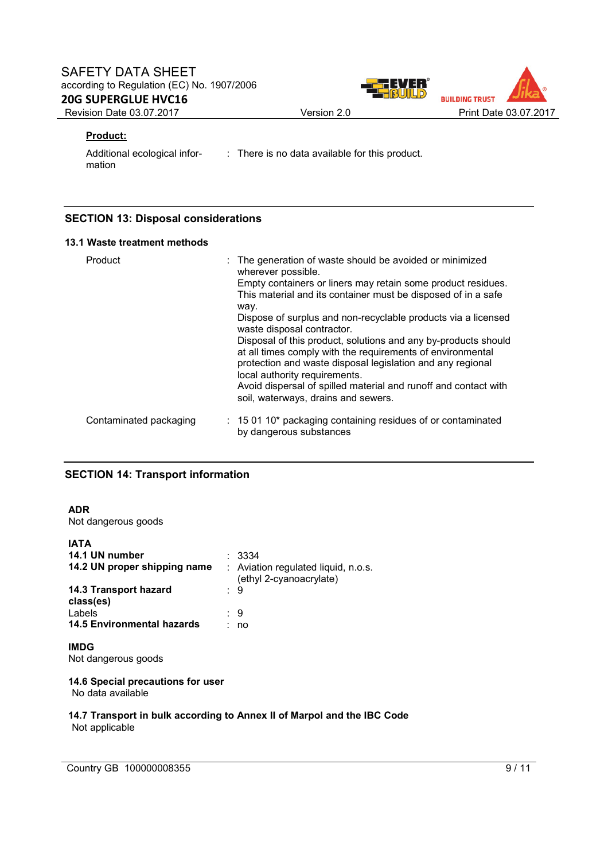





# **Product:**

Additional ecological information : There is no data available for this product.

# **SECTION 13: Disposal considerations**

### **13.1 Waste treatment methods**

| Product                | : The generation of waste should be avoided or minimized<br>wherever possible.<br>Empty containers or liners may retain some product residues.<br>This material and its container must be disposed of in a safe<br>way.<br>Dispose of surplus and non-recyclable products via a licensed<br>waste disposal contractor.<br>Disposal of this product, solutions and any by-products should<br>at all times comply with the requirements of environmental<br>protection and waste disposal legislation and any regional<br>local authority requirements.<br>Avoid dispersal of spilled material and runoff and contact with<br>soil, waterways, drains and sewers. |
|------------------------|-----------------------------------------------------------------------------------------------------------------------------------------------------------------------------------------------------------------------------------------------------------------------------------------------------------------------------------------------------------------------------------------------------------------------------------------------------------------------------------------------------------------------------------------------------------------------------------------------------------------------------------------------------------------|
| Contaminated packaging | $\therefore$ 15 01 10* packaging containing residues of or contaminated<br>by dangerous substances                                                                                                                                                                                                                                                                                                                                                                                                                                                                                                                                                              |

# **SECTION 14: Transport information**

### **ADR**

Not dangerous goods

| <b>IATA</b><br>14.1 UN number<br>14.2 UN proper shipping name | 3334<br>: Aviation regulated liquid, n.o.s.<br>(ethyl 2-cyanoacrylate) |
|---------------------------------------------------------------|------------------------------------------------------------------------|
| 14.3 Transport hazard<br>class(es)                            | : 9                                                                    |
| Labels                                                        | : 9                                                                    |
| <b>14.5 Environmental hazards</b>                             | no                                                                     |
| <b>IMDG</b>                                                   |                                                                        |

Not dangerous goods

**14.6 Special precautions for user** No data available

#### **14.7 Transport in bulk according to Annex II of Marpol and the IBC Code** Not applicable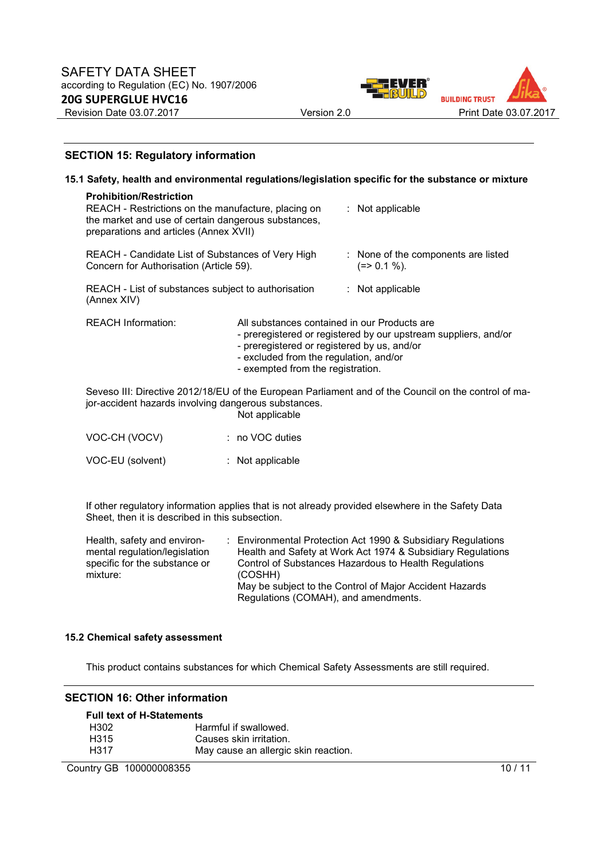



### **SECTION 15: Regulatory information**

|                                                                                                                                                                                        |                                                                                                                                                                            |  | 15.1 Safety, health and environmental regulations/legislation specific for the substance or mixture |
|----------------------------------------------------------------------------------------------------------------------------------------------------------------------------------------|----------------------------------------------------------------------------------------------------------------------------------------------------------------------------|--|-----------------------------------------------------------------------------------------------------|
| <b>Prohibition/Restriction</b><br>REACH - Restrictions on the manufacture, placing on<br>the market and use of certain dangerous substances,<br>preparations and articles (Annex XVII) |                                                                                                                                                                            |  | : Not applicable                                                                                    |
| REACH - Candidate List of Substances of Very High<br>Concern for Authorisation (Article 59).                                                                                           |                                                                                                                                                                            |  | : None of the components are listed<br>$(=>0.1\%)$ .                                                |
| REACH - List of substances subject to authorisation<br>(Annex XIV)                                                                                                                     |                                                                                                                                                                            |  | $:$ Not applicable                                                                                  |
| <b>REACH Information:</b>                                                                                                                                                              | All substances contained in our Products are<br>- preregistered or registered by us, and/or<br>- excluded from the regulation, and/or<br>- exempted from the registration. |  | - preregistered or registered by our upstream suppliers, and/or                                     |
| Seveso III: Directive 2012/18/EU of the European Parliament and of the Council on the control of ma-<br>jor-accident hazards involving dangerous substances.<br>Not applicable         |                                                                                                                                                                            |  |                                                                                                     |
| VOC-CH (VOCV)                                                                                                                                                                          | $: no VOC$ duties                                                                                                                                                          |  |                                                                                                     |
| VOC-EU (solvent)                                                                                                                                                                       | $:$ Not applicable                                                                                                                                                         |  |                                                                                                     |

If other regulatory information applies that is not already provided elsewhere in the Safety Data Sheet, then it is described in this subsection.

| Health, safety and environ-   | : Environmental Protection Act 1990 & Subsidiary Regulations |
|-------------------------------|--------------------------------------------------------------|
| mental regulation/legislation | Health and Safety at Work Act 1974 & Subsidiary Regulations  |
| specific for the substance or | Control of Substances Hazardous to Health Regulations        |
| mixture:                      | (COSHH)                                                      |
|                               | May be subject to the Control of Major Accident Hazards      |
|                               | Regulations (COMAH), and amendments.                         |

#### **15.2 Chemical safety assessment**

This product contains substances for which Chemical Safety Assessments are still required.

### **SECTION 16: Other information**

| Full text of H-Statements |  |
|---------------------------|--|
|---------------------------|--|

| H302             | Harmful if swallowed.                |
|------------------|--------------------------------------|
| H <sub>315</sub> | Causes skin irritation.              |
| H317             | May cause an allergic skin reaction. |

Country GB 100000008355 10 / 11